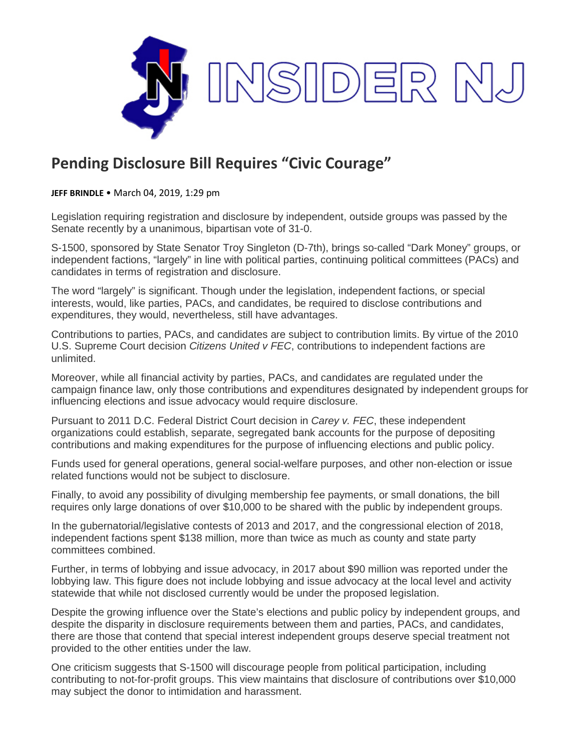

## **Pending Disclosure Bill Requires "Civic Courage"**

**JEFF BRINDLE** • March 04, 2019, 1:29 pm

Legislation requiring registration and disclosure by independent, outside groups was passed by the Senate recently by a unanimous, bipartisan vote of 31-0.

S-1500, sponsored by State Senator Troy Singleton (D-7th), brings so-called "Dark Money" groups, or independent factions, "largely" in line with political parties, continuing political committees (PACs) and candidates in terms of registration and disclosure.

The word "largely" is significant. Though under the legislation, independent factions, or special interests, would, like parties, PACs, and candidates, be required to disclose contributions and expenditures, they would, nevertheless, still have advantages.

Contributions to parties, PACs, and candidates are subject to contribution limits. By virtue of the 2010 U.S. Supreme Court decision *Citizens United v FEC*, contributions to independent factions are unlimited.

Moreover, while all financial activity by parties, PACs, and candidates are regulated under the campaign finance law, only those contributions and expenditures designated by independent groups for influencing elections and issue advocacy would require disclosure.

Pursuant to 2011 D.C. Federal District Court decision in *Carey v. FEC*, these independent organizations could establish, separate, segregated bank accounts for the purpose of depositing contributions and making expenditures for the purpose of influencing elections and public policy.

Funds used for general operations, general social-welfare purposes, and other non-election or issue related functions would not be subject to disclosure.

Finally, to avoid any possibility of divulging membership fee payments, or small donations, the bill requires only large donations of over \$10,000 to be shared with the public by independent groups.

In the gubernatorial/legislative contests of 2013 and 2017, and the congressional election of 2018, independent factions spent \$138 million, more than twice as much as county and state party committees combined.

Further, in terms of lobbying and issue advocacy, in 2017 about \$90 million was reported under the lobbying law. This figure does not include lobbying and issue advocacy at the local level and activity statewide that while not disclosed currently would be under the proposed legislation.

Despite the growing influence over the State's elections and public policy by independent groups, and despite the disparity in disclosure requirements between them and parties, PACs, and candidates, there are those that contend that special interest independent groups deserve special treatment not provided to the other entities under the law.

One criticism suggests that S-1500 will discourage people from political participation, including contributing to not-for-profit groups. This view maintains that disclosure of contributions over \$10,000 may subject the donor to intimidation and harassment.